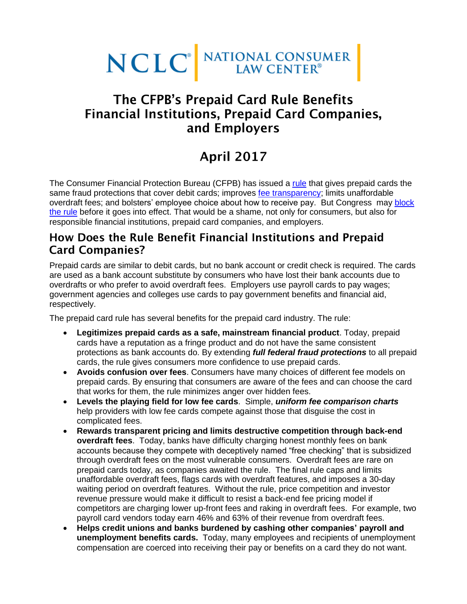

## The CFPB's Prepaid Card Rule Benefits **Financial Institutions, Prepaid Card Companies,** and Employers

# **April 2017**

The Consumer Financial Protection Bureau (CFPB) has issued a [rule](https://www.consumerfinance.gov/about-us/newsroom/cfpb-finalizes-strong-federal-protections-prepaid-account-consumers/) that gives prepaid cards the same fraud protections that cover debit cards; improves [fee transparency;](https://s3.amazonaws.com/files.consumerfinance.gov/f/documents/102016_cfpb_PrepaidDisclosures.pdf) limits unaffordable overdraft fees; and bolsters' employee choice about how to receive pay. But Congress may [block](http://rulesatrisk.org/prepaid-card-rule/) [the rule](http://rulesatrisk.org/prepaid-card-rule/) before it goes into effect. That would be a shame, not only for consumers, but also for responsible financial institutions, prepaid card companies, and employers.

#### How Does the Rule Benefit Financial Institutions and Prepaid **Card Companies?**

Prepaid cards are similar to debit cards, but no bank account or credit check is required. The cards are used as a bank account substitute by consumers who have lost their bank accounts due to overdrafts or who prefer to avoid overdraft fees. Employers use payroll cards to pay wages; government agencies and colleges use cards to pay government benefits and financial aid, respectively.

The prepaid card rule has several benefits for the prepaid card industry. The rule:

- **Legitimizes prepaid cards as a safe, mainstream financial product**. Today, prepaid cards have a reputation as a fringe product and do not have the same consistent protections as bank accounts do. By extending *full federal fraud protections* to all prepaid cards, the rule gives consumers more confidence to use prepaid cards.
- **Avoids confusion over fees**. Consumers have many choices of different fee models on prepaid cards. By ensuring that consumers are aware of the fees and can choose the card that works for them, the rule minimizes anger over hidden fees.
- **Levels the playing field for low fee cards**. Simple, *uniform fee comparison charts* help providers with low fee cards compete against those that disguise the cost in complicated fees.
- **Rewards transparent pricing and limits destructive competition through back-end overdraft fees**. Today, banks have difficulty charging honest monthly fees on bank accounts because they compete with deceptively named "free checking" that is subsidized through overdraft fees on the most vulnerable consumers. Overdraft fees are rare on prepaid cards today, as companies awaited the rule. The final rule caps and limits unaffordable overdraft fees, flags cards with overdraft features, and imposes a 30-day waiting period on overdraft features. Without the rule, price competition and investor revenue pressure would make it difficult to resist a back-end fee pricing model if competitors are charging lower up-front fees and raking in overdraft fees. For example, two payroll card vendors today earn 46% and 63% of their revenue from overdraft fees.
- **Helps credit unions and banks burdened by cashing other companies' payroll and unemployment benefits cards.** Today, many employees and recipients of unemployment compensation are coerced into receiving their pay or benefits on a card they do not want.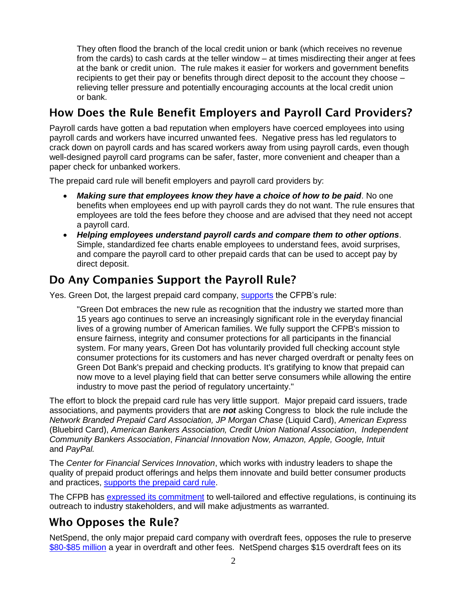They often flood the branch of the local credit union or bank (which receives no revenue from the cards) to cash cards at the teller window – at times misdirecting their anger at fees at the bank or credit union. The rule makes it easier for workers and government benefits recipients to get their pay or benefits through direct deposit to the account they choose – relieving teller pressure and potentially encouraging accounts at the local credit union or bank.

## How Does the Rule Benefit Employers and Payroll Card Providers?

Payroll cards have gotten a bad reputation when employers have coerced employees into using payroll cards and workers have incurred unwanted fees. Negative press has led regulators to crack down on payroll cards and has scared workers away from using payroll cards, even though well-designed payroll card programs can be safer, faster, more convenient and cheaper than a paper check for unbanked workers.

The prepaid card rule will benefit employers and payroll card providers by:

- *Making sure that employees know they have a choice of how to be paid*. No one benefits when employees end up with payroll cards they do not want. The rule ensures that employees are told the fees before they choose and are advised that they need not accept a payroll card.
- *Helping employees understand payroll cards and compare them to other options*. Simple, standardized fee charts enable employees to understand fees, avoid surprises, and compare the payroll card to other prepaid cards that can be used to accept pay by direct deposit.

#### Do Any Companies Support the Payroll Rule?

Yes. Green Dot, the largest prepaid card company, [supports](http://ir.greendot.com/phoenix.zhtml?c=235286&p=irol-newsArticle_print&ID=2209529) the CFPB's rule:

"Green Dot embraces the new rule as recognition that the industry we started more than 15 years ago continues to serve an increasingly significant role in the everyday financial lives of a growing number of American families. We fully support the CFPB's mission to ensure fairness, integrity and consumer protections for all participants in the financial system. For many years, Green Dot has voluntarily provided full checking account style consumer protections for its customers and has never charged overdraft or penalty fees on Green Dot Bank's prepaid and checking products. It's gratifying to know that prepaid can now move to a level playing field that can better serve consumers while allowing the entire industry to move past the period of regulatory uncertainty."

The effort to block the prepaid card rule has very little support. Major prepaid card issuers, trade associations, and payments providers that are *not* asking Congress to block the rule include the *Network Branded Prepaid Card Association, JP Morgan Chase* (Liquid Card), *American Express* (Bluebird Card), *American Bankers Association, Credit Union National Association*, *Independent Community Bankers Association*, *Financial Innovation Now, Amazon, Apple, Google, Intuit*  and *PayPal.*

The *Center for Financial Services Innovation*, which works with industry leaders to shape the quality of prepaid product offerings and helps them innovate and build better consumer products and practices, [supports the prepaid card rule.](https://www.nclc.org/images/pdf/banking_and_payment_systems/cfsi-response-sj-sen-brown.pdf)

The CFPB has [expressed its commitment](https://www.consumerfinance.gov/about-us/blog/cfpb-proposes-effective-date-extension-prepaid-accounts-rule/) to well-tailored and effective regulations, is continuing its outreach to industry stakeholders, and will make adjustments as warranted.

## Who Opposes the Rule?

NetSpend, the only major prepaid card company with overdraft fees, opposes the rule to preserv[e](https://www.americanbanker.com/news/cfpb-rules-will-take-80m-bite-out-of-netspends-revenue) [\\$80-\\$85 million](https://www.americanbanker.com/news/cfpb-rules-will-take-80m-bite-out-of-netspends-revenue) a year in overdraft and other fees. NetSpend charges \$15 overdraft fees on its